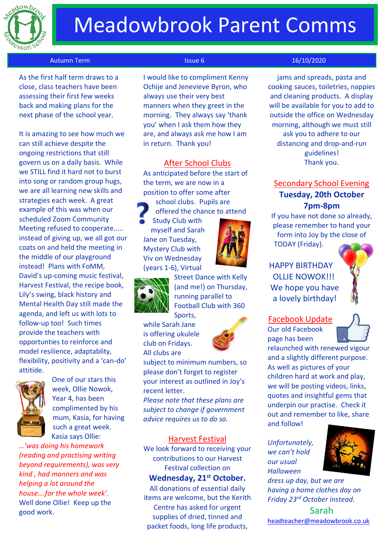

# Meadowbrook Parent Comms

### Autumn Term **Issue 6** 16/10/2020

 As the first half term draws to a close, class teachers have been assessing their first few weeks back and making plans for the next phase of the school year.

It is amazing to see how much we can still achieve despite the ongoing restrictions that still govern us on a daily basis. While we STILL find it hard not to burst into song or random group hugs, we are all learning new skills and strategies each week. A great example of this was when our scheduled Zoom Community Meeting refused to cooperate..... instead of giving up, we all got our coats on and held the meeting in the middle of our playground instead! Plans with FoMM, David's up-coming music festival, Harvest Festival, the recipe book, Lily's swing, black history and Mental Health Day still made the agenda, and left us with lots to follow-up too! Such times provide the teachers with opportunties to reinforce and model resilience, adaptablity, flexibility, positivity and a 'can-do' attitide.



One of our stars this week, Ollie Nowok, Year 4, has been complimented by his mum, Kasia, for having such a great week. Kasia says Ollie:

*…'was doing his homework (reading and practising writing beyond requirements), was very kind , had manners and was helping a lot around the house….for the whole week'.*  Well done Ollie! Keep up the good work.

I would like to compliment Kenny Ochije and Jenevieve Byron, who always use their very best manners when they greet in the morning. They always say 'thank you' when I ask them how they are, and always ask me how I am in return. Thank you!

### After School Clubs

As anticipated before the start of the term, we are now in a position to offer some after school clubs. Pupils are offered the chance to attend Study Club with

myself and Sarah Jane on Tuesday, Mystery Club with Viv on Wednesday (years 1-6), Virtual



Street Dance with Kelly (and me!) on Thursday, running parallel to Football Club with 360 Sports,

while Sarah Jane is offering ukulele club on Fridays. All clubs are



subject to minimum numbers, so please don't forget to register your interest as outlined in Joy's recent letter.

*Please note that these plans are subject to change if government advice requires us to do so.*

### Harvest Festival

We look forward to receiving your contributions to our Harvest Festival collection on

## **Wednesday, 21st October.**

All donations of essential daily items are welcome, but the Kerith Centre has asked for urgent supplies of dried, tinned and packet foods, long life products,

jams and spreads, pasta and cooking sauces, toiletries, nappies and cleaning products. A display will be available for you to add to outside the office on Wednesday morning, although we must still ask you to adhere to our distancing and drop-and-run guidelines! Thank you.

## Secondary School Evening **Tuesday, 20th October 7pm-8pm**

If you have not done so already, please remember to hand your form into Joy by the close of TODAY (Friday).

HAPPY BIRTHDAY OLLIE NOWOK!!! We hope you have a lovely birthday!

Facebook Update Our old Facebook page has been



relaunched with renewed vigour and a slightly different purpose. As well as pictures of your children hard at work and play, we will be posting videos, links, quotes and insightful gems that underpin our practise. Check it out and remember to like, share and follow!

*Unfortunately, we can't hold our usual Halloween* 



*dress up day, but we are having a home clothes day on Friday 23rd October instead.*

Sarah [headteacher@meadowbrook.co.uk](mailto:headteacher@meadowbrook.co.uk)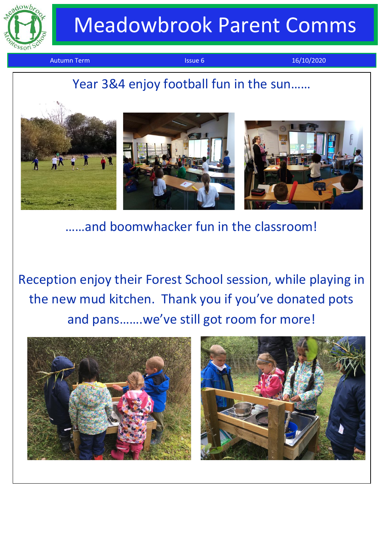

 $\overline{a}$ 

# Meadowbrook Parent Comms

Autumn Term **Issue 6** 16/10/2020

## j Year 3&4 enjoy football fun in the sun……



……and boomwhacker fun in the classroom!

Reception enjoy their Forest School session, while playing in the new mud kitchen. Thank you if you've donated pots and pans…….we've still got room for more!